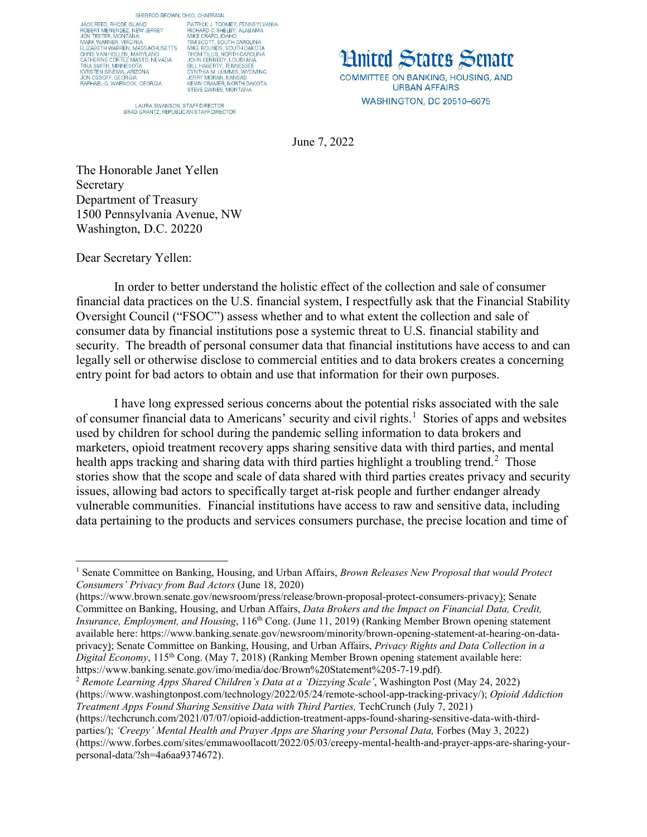JACK REED, RHODE ISLAND. SACK HELD, MODEL ISLAND<br>TROBERT MENERDEZ, NEW JERSEY<br>JON TESTER, MONTANA<br>ELIZABETH WARREN, MASSACHUSETTS CHRIS VAN HOLLEN, MARYLAND<br>CATHERINE CORTEZ MASTO, NEVADA<br>TINA SMITH, MINNESOTA KYRSTEN SINEMA, ARIZONA<br>JON OSSOFF, GEORGIA RAPHAEL G. WARNOCK, GEORGIA

SHERROD BROWN, OHIO, CHAIRMAN PHO, URHAMAN<br>PRICHARD C. SHELBY, ALABAMA<br>RICHARD C. SHELBY, ALABAMA<br>MIKE CRAPO, IDAHO<br>TIM SCOTT, SOUTH CAROLINA<br>MIKE ROUNDS, SOUTH DAKOTA<br>JOHN KENNEDY, LOUISIANA<br>JOHN KENNEDY, LOUISIANA<br>BUL HAGERTY, TENNESSEE<br>CYNTHIA M LIJ STATHIA M. LUMMIS, WYOMING<br>JERRY MORAN, KANSAS<br>KEVIN CRAMER, NORTH DAKOTA<br>STEVE DAINES, MONTANA

LAURA SWANSON, STAFF DIRECTOR<br>BRAD GRANTZ, REPUBLICAN STAFF DIRECTOR

**Hnited States Senate** COMMITTEE ON BANKING, HOUSING, AND **URBAN AFFAIRS WASHINGTON, DC 20510-6075** 

June 7, 2022

The Honorable Janet Yellen Secretary Department of Treasury 1500 Pennsylvania Avenue, NW Washington, D.C. 20220

Dear Secretary Yellen:

In order to better understand the holistic effect of the collection and sale of consumer financial data practices on the U.S. financial system, I respectfully ask that the Financial Stability Oversight Council ("FSOC") assess whether and to what extent the collection and sale of consumer data by financial institutions pose a systemic threat to U.S. financial stability and security. The breadth of personal consumer data that financial institutions have access to and can legally sell or otherwise disclose to commercial entities and to data brokers creates a concerning entry point for bad actors to obtain and use that information for their own purposes.

I have long expressed serious concerns about the potential risks associated with the sale of consumer financial data to Americans' security and civil rights. [1](#page-0-0) Stories of apps and websites used by children for school during the pandemic selling information to data brokers and marketers, opioid treatment recovery apps sharing sensitive data with third parties, and mental health apps tracking and sharing data with third parties highlight a troubling trend.<sup>[2](#page-0-1)</sup> Those stories show that the scope and scale of data shared with third parties creates privacy and security issues, allowing bad actors to specifically target at-risk people and further endanger already vulnerable communities. Financial institutions have access to raw and sensitive data, including data pertaining to the products and services consumers purchase, the precise location and time of

(https://techcrunch.com/2021/07/07/opioid-addiction-treatment-apps-found-sharing-sensitive-data-with-thirdparties/); *'Creepy' Mental Health and Prayer Apps are Sharing your Personal Data,* Forbes (May 3, 2022) (https://www.forbes.com/sites/emmawoollacott/2022/05/03/creepy-mental-health-and-prayer-apps-are-sharing-yourpersonal-data/?sh=4a6aa9374672).

<span id="page-0-0"></span><sup>1</sup> Senate Committee on Banking, Housing, and Urban Affairs, *Brown Releases New Proposal that would Protect Consumers' Privacy from Bad Actors* (June 18, 2020)

<sup>(</sup>https://www.brown.senate.gov/newsroom/press/release/brown-proposal-protect-consumers-privacy); Senate Committee on Banking, Housing, and Urban Affairs, *Data Brokers and the Impact on Financial Data, Credit, Insurance, Employment, and Housing*, 116th Cong. (June 11, 2019) (Ranking Member Brown opening statement available here: https://www.banking.senate.gov/newsroom/minority/brown-opening-statement-at-hearing-on-dataprivacy); Senate Committee on Banking, Housing, and Urban Affairs, *Privacy Rights and Data Collection in a Digital Economy*, 115th Cong. (May 7, 2018) (Ranking Member Brown opening statement available here: https://www.banking.senate.gov/imo/media/doc/Brown%20Statement%205-7-19.pdf). 2 *Remote Learning Apps Shared Children's Data at a 'Dizzying Scale'*, Washington Post (May 24, 2022)

<span id="page-0-1"></span><sup>(</sup>https://www.washingtonpost.com/technology/2022/05/24/remote-school-app-tracking-privacy/); *Opioid Addiction Treatment Apps Found Sharing Sensitive Data with Third Parties,* TechCrunch (July 7, 2021)